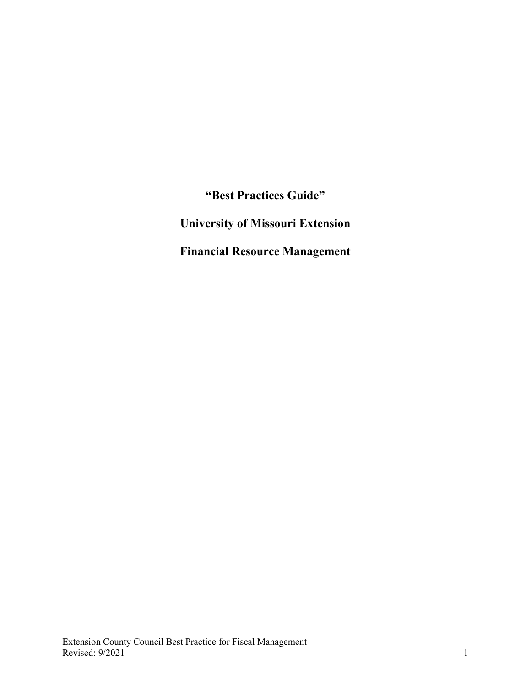**"Best Practices Guide" University of Missouri Extension Financial Resource Management**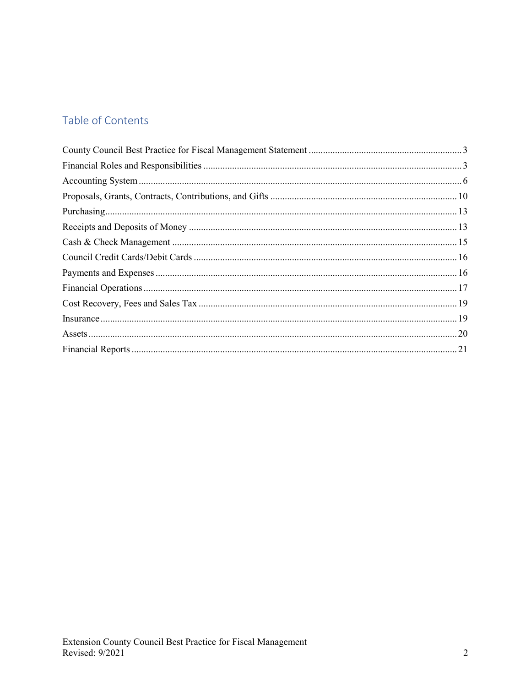# Table of Contents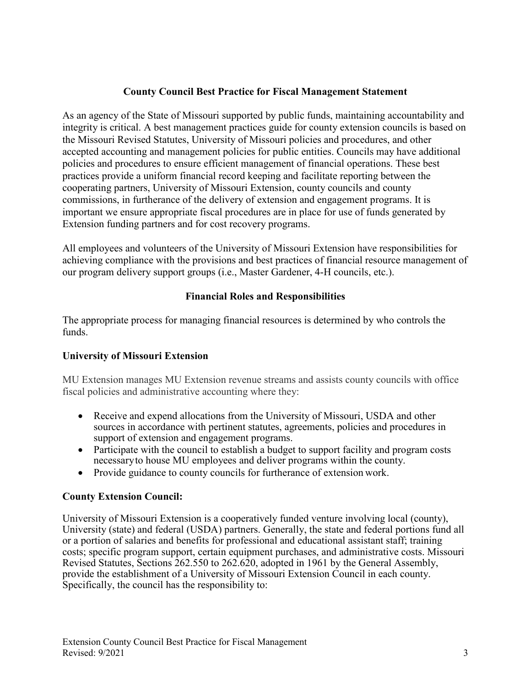# **County Council Best Practice for Fiscal Management Statement**

<span id="page-2-0"></span>As an agency of the State of Missouri supported by public funds, maintaining accountability and integrity is critical. A best management practices guide for county extension councils is based on the Missouri Revised Statutes, University of Missouri policies and procedures, and other accepted accounting and management policies for public entities. Councils may have additional policies and procedures to ensure efficient management of financial operations. These best practices provide a uniform financial record keeping and facilitate reporting between the cooperating partners, University of Missouri Extension, county councils and county commissions, in furtherance of the delivery of extension and engagement programs. It is important we ensure appropriate fiscal procedures are in place for use of funds generated by Extension funding partners and for cost recovery programs.

All employees and volunteers of the University of Missouri Extension have responsibilities for achieving compliance with the provisions and best practices of financial resource management of our program delivery support groups (i.e., Master Gardener, 4-H councils, etc.).

# **Financial Roles and Responsibilities**

<span id="page-2-1"></span>The appropriate process for managing financial resources is determined by who controls the funds.

# **University of Missouri Extension**

MU Extension manages MU Extension revenue streams and assists county councils with office fiscal policies and administrative accounting where they:

- Receive and expend allocations from the University of Missouri, USDA and other sources in accordance with pertinent statutes, agreements, policies and procedures in support of extension and engagement programs.
- Participate with the council to establish a budget to support facility and program costs necessaryto house MU employees and deliver programs within the county.
- Provide guidance to county councils for furtherance of extension work.

# **County Extension Council:**

University of Missouri Extension is a cooperatively funded venture involving local (county), University (state) and federal (USDA) partners. Generally, the state and federal portions fund all or a portion of salaries and benefits for professional and educational assistant staff; training costs; specific program support, certain equipment purchases, and administrative costs. Missouri Revised Statutes, Sections 262.550 to 262.620, adopted in 1961 by the General Assembly, provide the establishment of a University of Missouri Extension Council in each county. Specifically, the council has the responsibility to: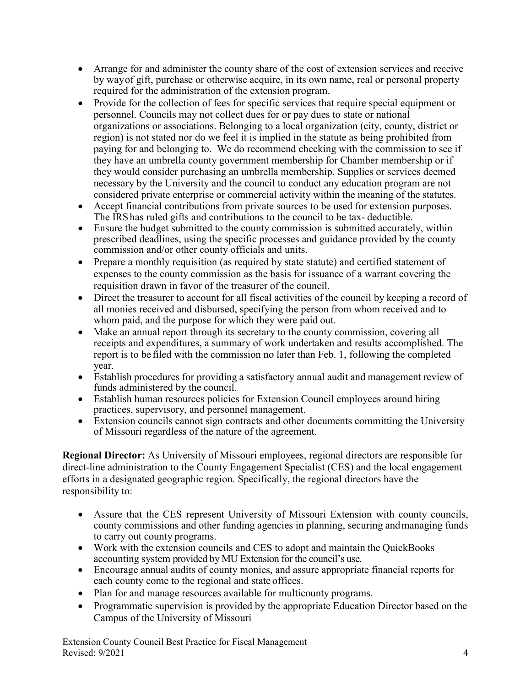- Arrange for and administer the county share of the cost of extension services and receive by wayof gift, purchase or otherwise acquire, in its own name, real or personal property required for the administration of the extension program.
- Provide for the collection of fees for specific services that require special equipment or personnel. Councils may not collect dues for or pay dues to state or national organizations or associations. Belonging to a local organization (city, county, district or region) is not stated nor do we feel it is implied in the statute as being prohibited from paying for and belonging to. We do recommend checking with the commission to see if they have an umbrella county government membership for Chamber membership or if they would consider purchasing an umbrella membership, Supplies or services deemed necessary by the University and the council to conduct any education program are not considered private enterprise or commercial activity within the meaning of the statutes.
- Accept financial contributions from private sources to be used for extension purposes. The IRShas ruled gifts and contributions to the council to be tax- deductible.
- Ensure the budget submitted to the county commission is submitted accurately, within prescribed deadlines, using the specific processes and guidance provided by the county commission and/or other county officials and units.
- Prepare a monthly requisition (as required by state statute) and certified statement of expenses to the county commission as the basis for issuance of a warrant covering the requisition drawn in favor of the treasurer of the council.
- Direct the treasurer to account for all fiscal activities of the council by keeping a record of all monies received and disbursed, specifying the person from whom received and to whom paid, and the purpose for which they were paid out.
- Make an annual report through its secretary to the county commission, covering all receipts and expenditures, a summary of work undertaken and results accomplished. The report is to be filed with the commission no later than Feb. 1, following the completed year.
- Establish procedures for providing a satisfactory annual audit and management review of funds administered by the council.
- Establish human resources policies for Extension Council employees around hiring practices, supervisory, and personnel management.
- Extension councils cannot sign contracts and other documents committing the University of Missouri regardless of the nature of the agreement.

**Regional Director:** As University of Missouri employees, regional directors are responsible for direct-line administration to the County Engagement Specialist (CES) and the local engagement efforts in a designated geographic region. Specifically, the regional directors have the responsibility to:

- Assure that the CES represent University of Missouri Extension with county councils, county commissions and other funding agencies in planning, securing andmanaging funds to carry out county programs.
- Work with the extension councils and CES to adopt and maintain the QuickBooks accounting system provided by MU Extension for the council's use.
- Encourage annual audits of county monies, and assure appropriate financial reports for each county come to the regional and state offices.
- Plan for and manage resources available for multicounty programs.
- Programmatic supervision is provided by the appropriate Education Director based on the Campus of the University of Missouri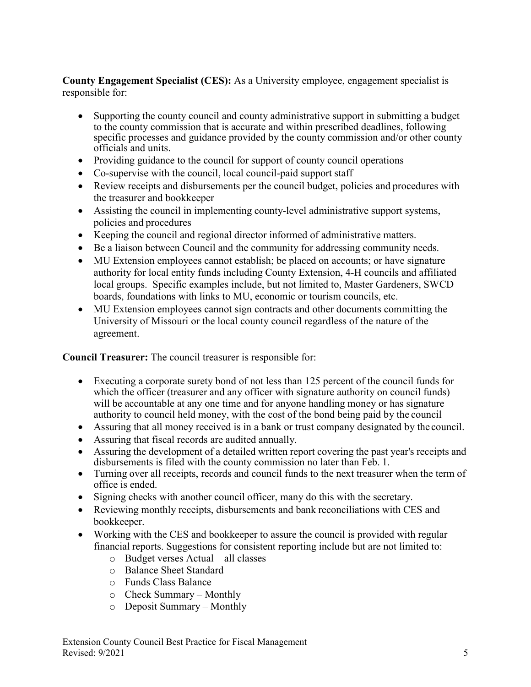**County Engagement Specialist (CES):** As a University employee, engagement specialist is responsible for:

- Supporting the county council and county administrative support in submitting a budget to the county commission that is accurate and within prescribed deadlines, following specific processes and guidance provided by the county commission and/or other county officials and units.
- Providing guidance to the council for support of county council operations
- Co-supervise with the council, local council-paid support staff
- Review receipts and disbursements per the council budget, policies and procedures with the treasurer and bookkeeper
- Assisting the council in implementing county-level administrative support systems, policies and procedures
- Keeping the council and regional director informed of administrative matters.
- Be a liaison between Council and the community for addressing community needs.
- MU Extension employees cannot establish; be placed on accounts; or have signature authority for local entity funds including County Extension, 4-H councils and affiliated local groups. Specific examples include, but not limited to, Master Gardeners, SWCD boards, foundations with links to MU, economic or tourism councils, etc.
- MU Extension employees cannot sign contracts and other documents committing the University of Missouri or the local county council regardless of the nature of the agreement.

# **Council Treasurer:** The council treasurer is responsible for:

- Executing a corporate surety bond of not less than 125 percent of the council funds for which the officer (treasurer and any officer with signature authority on council funds) will be accountable at any one time and for anyone handling money or has signature authority to council held money, with the cost of the bond being paid by the council
- Assuring that all money received is in a bank or trust company designated by the council.
- Assuring that fiscal records are audited annually.
- Assuring the development of a detailed written report covering the past year's receipts and disbursements is filed with the county commission no later than Feb. 1.
- Turning over all receipts, records and council funds to the next treasurer when the term of office is ended.
- Signing checks with another council officer, many do this with the secretary.
- Reviewing monthly receipts, disbursements and bank reconciliations with CES and bookkeeper.
- Working with the CES and bookkeeper to assure the council is provided with regular financial reports. Suggestions for consistent reporting include but are not limited to:
	- o Budget verses Actual all classes
	- o Balance Sheet Standard
	- o Funds Class Balance
	- o Check Summary Monthly
	- o Deposit Summary Monthly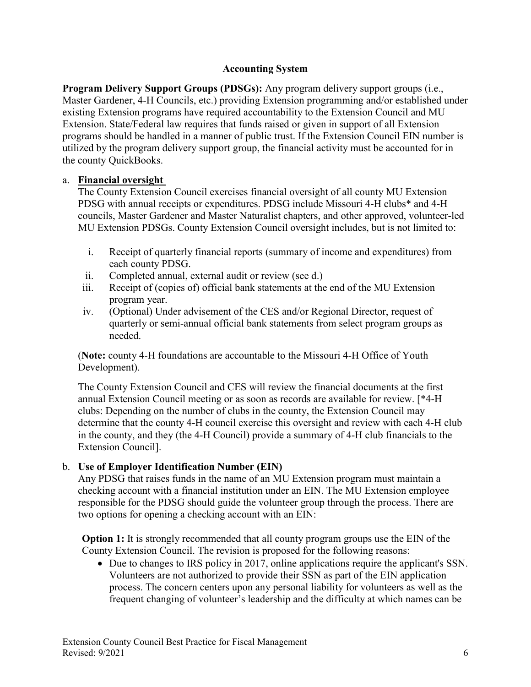# **Accounting System**

<span id="page-5-0"></span>**Program Delivery Support Groups (PDSGs):** Any program delivery support groups (i.e., Master Gardener, 4-H Councils, etc.) providing Extension programming and/or established under existing Extension programs have required accountability to the Extension Council and MU Extension. State/Federal law requires that funds raised or given in support of all Extension programs should be handled in a manner of public trust. If the Extension Council EIN number is utilized by the program delivery support group, the financial activity must be accounted for in the county QuickBooks.

### a. **Financial oversight**

The County Extension Council exercises financial oversight of all county MU Extension PDSG with annual receipts or expenditures. PDSG include Missouri 4-H clubs\* and 4-H councils, Master Gardener and Master Naturalist chapters, and other approved, volunteer-led MU Extension PDSGs. County Extension Council oversight includes, but is not limited to:

- i. Receipt of quarterly financial reports (summary of income and expenditures) from each county PDSG.
- ii. Completed annual, external audit or review (see d.)
- iii. Receipt of (copies of) official bank statements at the end of the MU Extension program year.
- iv. (Optional) Under advisement of the CES and/or Regional Director, request of quarterly or semi-annual official bank statements from select program groups as needed.

(**Note:** county 4-H foundations are accountable to the Missouri 4-H Office of Youth Development).

The County Extension Council and CES will review the financial documents at the first annual Extension Council meeting or as soon as records are available for review. [\*4-H clubs: Depending on the number of clubs in the county, the Extension Council may determine that the county 4-H council exercise this oversight and review with each 4-H club in the county, and they (the 4-H Council) provide a summary of 4-H club financials to the Extension Council].

# b. **Use of Employer Identification Number (EIN)**

Any PDSG that raises funds in the name of an MU Extension program must maintain a checking account with a financial institution under an EIN. The MU Extension employee responsible for the PDSG should guide the volunteer group through the process. There are two options for opening a checking account with an EIN:

**Option 1:** It is strongly recommended that all county program groups use the EIN of the County Extension Council. The revision is proposed for the following reasons:

• Due to changes to IRS policy in 2017, online applications require the applicant's SSN. Volunteers are not authorized to provide their SSN as part of the EIN application process. The concern centers upon any personal liability for volunteers as well as the frequent changing of volunteer's leadership and the difficulty at which names can be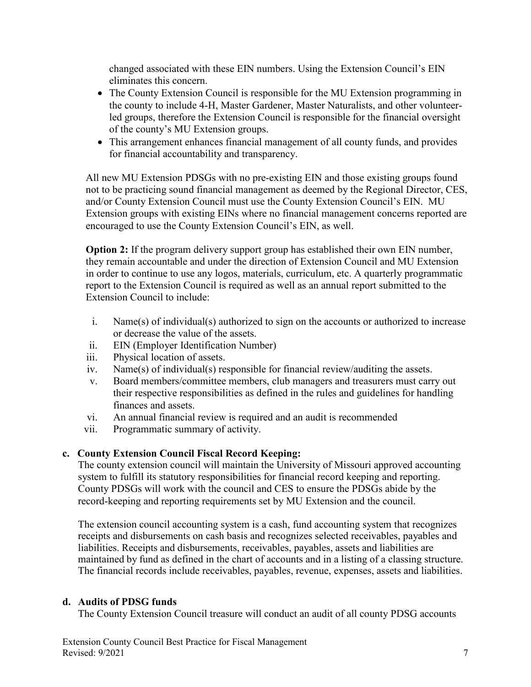changed associated with these EIN numbers. Using the Extension Council's EIN eliminates this concern.

- The County Extension Council is responsible for the MU Extension programming in the county to include 4-H, Master Gardener, Master Naturalists, and other volunteerled groups, therefore the Extension Council is responsible for the financial oversight of the county's MU Extension groups.
- This arrangement enhances financial management of all county funds, and provides for financial accountability and transparency.

All new MU Extension PDSGs with no pre-existing EIN and those existing groups found not to be practicing sound financial management as deemed by the Regional Director, CES, and/or County Extension Council must use the County Extension Council's EIN. MU Extension groups with existing EINs where no financial management concerns reported are encouraged to use the County Extension Council's EIN, as well.

**Option 2:** If the program delivery support group has established their own EIN number, they remain accountable and under the direction of Extension Council and MU Extension in order to continue to use any logos, materials, curriculum, etc. A quarterly programmatic report to the Extension Council is required as well as an annual report submitted to the Extension Council to include:

- i. Name(s) of individual(s) authorized to sign on the accounts or authorized to increase or decrease the value of the assets.
- ii. EIN (Employer Identification Number)
- iii. Physical location of assets.
- iv. Name(s) of individual(s) responsible for financial review/auditing the assets.
- v. Board members/committee members, club managers and treasurers must carry out their respective responsibilities as defined in the rules and guidelines for handling finances and assets.
- vi. An annual financial review is required and an audit is recommended
- vii. Programmatic summary of activity.

# **c. County Extension Council Fiscal Record Keeping:**

The county extension council will maintain the University of Missouri approved accounting system to fulfill its statutory responsibilities for financial record keeping and reporting. County PDSGs will work with the council and CES to ensure the PDSGs abide by the record-keeping and reporting requirements set by MU Extension and the council.

The extension council accounting system is a cash, fund accounting system that recognizes receipts and disbursements on cash basis and recognizes selected receivables, payables and liabilities. Receipts and disbursements, receivables, payables, assets and liabilities are maintained by fund as defined in the chart of accounts and in a listing of a classing structure. The financial records include receivables, payables, revenue, expenses, assets and liabilities.

# **d. Audits of PDSG funds**

The County Extension Council treasure will conduct an audit of all county PDSG accounts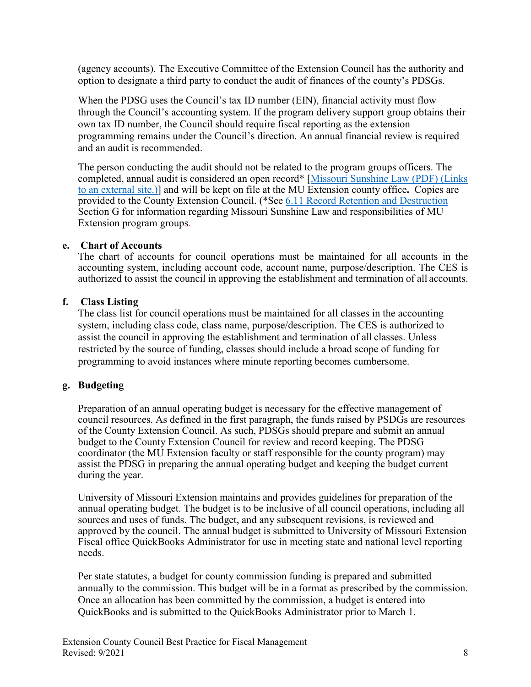(agency accounts). The Executive Committee of the Extension Council has the authority and option to designate a third party to conduct the audit of finances of the county's PDSGs.

When the PDSG uses the Council's tax ID number (EIN), financial activity must flow through the Council's accounting system. If the program delivery support group obtains their own tax ID number, the Council should require fiscal reporting as the extension programming remains under the Council's direction. An annual financial review is required and an audit is recommended.

The person conducting the audit should not be related to the program groups officers. The completed, annual audit is considered an open record\* [\[Missouri Sunshine Law \(PDF\)](http://extension.missouri.edu/extcouncil/documents/sunshine_law_summary.pdf) (Links [to an external site.\)\]](http://extension.missouri.edu/extcouncil/documents/sunshine_law_summary.pdf) and will be kept on file at the MU Extension county office**.** Copies are provided to the County Extension Council. (\*See [6.11 Record Retention and Destruction](https://extensionmissouri.instructure.com/courses/530/pages/6-liability#SUN) Section G for information regarding Missouri Sunshine Law and responsibilities of MU Extension program groups.

#### **e. Chart of Accounts**

The chart of accounts for council operations must be maintained for all accounts in the accounting system, including account code, account name, purpose/description. The CES is authorized to assist the council in approving the establishment and termination of all accounts.

### **f. Class Listing**

The class list for council operations must be maintained for all classes in the accounting system, including class code, class name, purpose/description. The CES is authorized to assist the council in approving the establishment and termination of all classes. Unless restricted by the source of funding, classes should include a broad scope of funding for programming to avoid instances where minute reporting becomes cumbersome.

# **g. Budgeting**

Preparation of an annual operating budget is necessary for the effective management of council resources. As defined in the first paragraph, the funds raised by PSDGs are resources of the County Extension Council. As such, PDSGs should prepare and submit an annual budget to the County Extension Council for review and record keeping. The PDSG coordinator (the MU Extension faculty or staff responsible for the county program) may assist the PDSG in preparing the annual operating budget and keeping the budget current during the year.

University of Missouri Extension maintains and provides guidelines for preparation of the annual operating budget. The budget is to be inclusive of all council operations, including all sources and uses of funds. The budget, and any subsequent revisions, is reviewed and approved by the council. The annual budget is submitted to University of Missouri Extension Fiscal office QuickBooks Administrator for use in meeting state and national level reporting needs.

Per state statutes, a budget for county commission funding is prepared and submitted annually to the commission. This budget will be in a format as prescribed by the commission. Once an allocation has been committed by the commission, a budget is entered into QuickBooks and is submitted to the QuickBooks Administrator prior to March 1.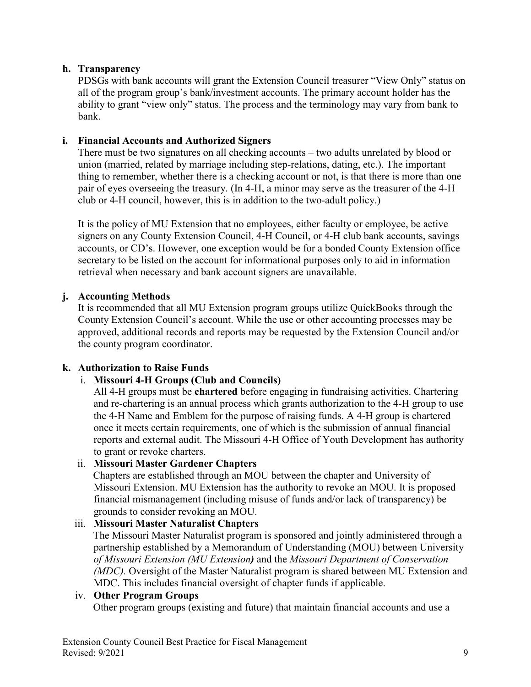# **h. Transparency**

PDSGs with bank accounts will grant the Extension Council treasurer "View Only" status on all of the program group's bank/investment accounts. The primary account holder has the ability to grant "view only" status. The process and the terminology may vary from bank to bank.

### **i. Financial Accounts and Authorized Signers**

There must be two signatures on all checking accounts – two adults unrelated by blood or union (married, related by marriage including step-relations, dating, etc.). The important thing to remember, whether there is a checking account or not, is that there is more than one pair of eyes overseeing the treasury. (In 4-H, a minor may serve as the treasurer of the 4-H club or 4-H council, however, this is in addition to the two-adult policy.)

It is the policy of MU Extension that no employees, either faculty or employee, be active signers on any County Extension Council, 4-H Council, or 4-H club bank accounts, savings accounts, or CD's. However, one exception would be for a bonded County Extension office secretary to be listed on the account for informational purposes only to aid in information retrieval when necessary and bank account signers are unavailable.

### **j. Accounting Methods**

It is recommended that all MU Extension program groups utilize QuickBooks through the County Extension Council's account. While the use or other accounting processes may be approved, additional records and reports may be requested by the Extension Council and/or the county program coordinator.

#### **k. Authorization to Raise Funds**

# i. **Missouri 4-H Groups (Club and Councils)**

All 4-H groups must be **chartered** before engaging in fundraising activities. Chartering and re-chartering is an annual process which grants authorization to the 4-H group to use the 4-H Name and Emblem for the purpose of raising funds. A 4-H group is chartered once it meets certain requirements, one of which is the submission of annual financial reports and external audit. The Missouri 4-H Office of Youth Development has authority to grant or revoke charters.

#### ii. **Missouri Master Gardener Chapters**

Chapters are established through an MOU between the chapter and University of Missouri Extension. MU Extension has the authority to revoke an MOU. It is proposed financial mismanagement (including misuse of funds and/or lack of transparency) be grounds to consider revoking an MOU.

#### iii. **Missouri Master Naturalist Chapters**

The Missouri Master Naturalist program is sponsored and jointly administered through a partnership established by a Memorandum of Understanding (MOU) between University *of Missouri Extension (MU Extension)* and the *Missouri Department of Conservation (MDC).* Oversight of the Master Naturalist program is shared between MU Extension and MDC. This includes financial oversight of chapter funds if applicable.

#### iv. **Other Program Groups**

Other program groups (existing and future) that maintain financial accounts and use a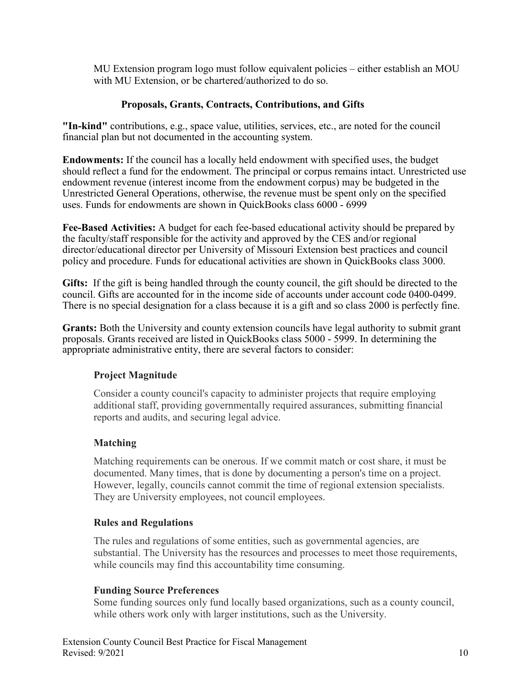MU Extension program logo must follow equivalent policies – either establish an MOU with MU Extension, or be chartered/authorized to do so.

# **Proposals, Grants, Contracts, Contributions, and Gifts**

<span id="page-9-0"></span>**"In-kind"** contributions, e.g., space value, utilities, services, etc., are noted for the council financial plan but not documented in the accounting system.

**Endowments:** If the council has a locally held endowment with specified uses, the budget should reflect a fund for the endowment. The principal or corpus remains intact. Unrestricted use endowment revenue (interest income from the endowment corpus) may be budgeted in the Unrestricted General Operations, otherwise, the revenue must be spent only on the specified uses. Funds for endowments are shown in QuickBooks class 6000 - 6999

**Fee-Based Activities:** A budget for each fee-based educational activity should be prepared by the faculty/staff responsible for the activity and approved by the CES and/or regional director/educational director per University of Missouri Extension best practices and council policy and procedure. Funds for educational activities are shown in QuickBooks class 3000.

**Gifts:** If the gift is being handled through the county council, the gift should be directed to the council. Gifts are accounted for in the income side of accounts under account code 0400-0499. There is no special designation for a class because it is a gift and so class 2000 is perfectly fine.

**Grants:** Both the University and county extension councils have legal authority to submit grant proposals. Grants received are listed in QuickBooks class 5000 - 5999. In determining the appropriate administrative entity, there are several factors to consider:

# **Project Magnitude**

Consider a county council's capacity to administer projects that require employing additional staff, providing governmentally required assurances, submitting financial reports and audits, and securing legal advice.

# **Matching**

Matching requirements can be onerous. If we commit match or cost share, it must be documented. Many times, that is done by documenting a person's time on a project. However, legally, councils cannot commit the time of regional extension specialists. They are University employees, not council employees.

#### **Rules and Regulations**

The rules and regulations of some entities, such as governmental agencies, are substantial. The University has the resources and processes to meet those requirements, while councils may find this accountability time consuming.

#### **Funding Source Preferences**

Some funding sources only fund locally based organizations, such as a county council, while others work only with larger institutions, such as the University.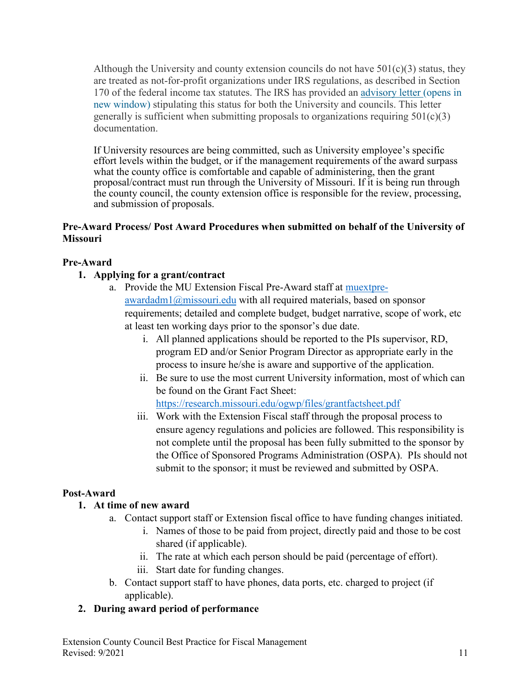Although the University and county extension councils do not have  $501(c)(3)$  status, they are treated as not-for-profit organizations under IRS regulations, as described in Section 170 of the federal income tax statutes. The IRS has provided an [advisory letter](https://extensiondata.missouri.edu/ExtensionWay/Docs/fin-4H-irsLetter.pdf) (opens in new [window\)](https://extensiondata.missouri.edu/ExtensionWay/Docs/fin-4H-irsLetter.pdf) stipulating this status for both the University and councils. This letter generally is sufficient when submitting proposals to organizations requiring  $501(c)(3)$ documentation.

If University resources are being committed, such as University employee's specific effort levels within the budget, or if the management requirements of the award surpass what the county office is comfortable and capable of administering, then the grant proposal/contract must run through the University of Missouri. If it is being run through the county council, the county extension office is responsible for the review, processing, and submission of proposals.

# **Pre-Award Process/ Post Award Procedures when submitted on behalf of the University of Missouri**

# **Pre-Award**

# **1. Applying for a grant/contract**

- a. Provide the MU Extension Fiscal Pre-Award staff at [muextpre](mailto:muextpre-awardadm1@missouri.edu)[awardadm1@missouri.edu](mailto:muextpre-awardadm1@missouri.edu) with all required materials, based on sponsor requirements; detailed and complete budget, budget narrative, scope of work, etc at least ten working days prior to the sponsor's due date.
	- i. All planned applications should be reported to the PIs supervisor, RD, program ED and/or Senior Program Director as appropriate early in the process to insure he/she is aware and supportive of the application.
	- ii. Be sure to use the most current University information, most of which can be found on the Grant Fact Sheet: <https://research.missouri.edu/ogwp/files/grantfactsheet.pdf>
	- iii. Work with the Extension Fiscal staff through the proposal process to ensure agency regulations and policies are followed. This responsibility is not complete until the proposal has been fully submitted to the sponsor by the Office of Sponsored Programs Administration (OSPA). PIs should not submit to the sponsor; it must be reviewed and submitted by OSPA.

# **Post-Award**

# **1. At time of new award**

- a. Contact support staff or Extension fiscal office to have funding changes initiated.
	- i. Names of those to be paid from project, directly paid and those to be cost shared (if applicable).
	- ii. The rate at which each person should be paid (percentage of effort).
	- iii. Start date for funding changes.
- b. Contact support staff to have phones, data ports, etc. charged to project (if applicable).

# **2. During award period of performance**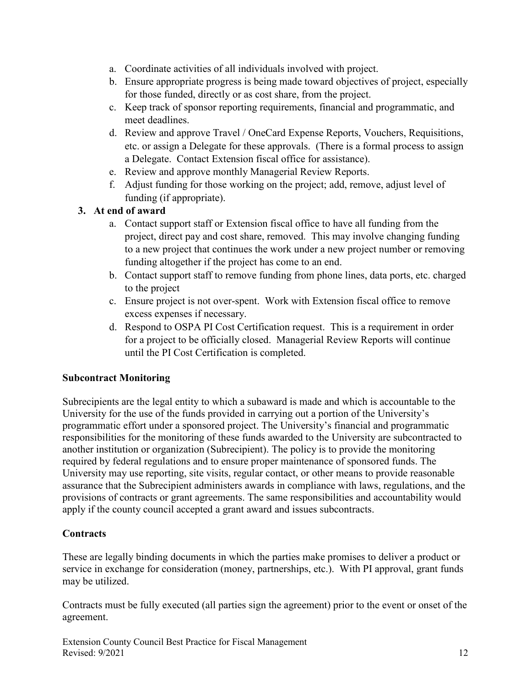- a. Coordinate activities of all individuals involved with project.
- b. Ensure appropriate progress is being made toward objectives of project, especially for those funded, directly or as cost share, from the project.
- c. Keep track of sponsor reporting requirements, financial and programmatic, and meet deadlines.
- d. Review and approve Travel / OneCard Expense Reports, Vouchers, Requisitions, etc. or assign a Delegate for these approvals. (There is a formal process to assign a Delegate. Contact Extension fiscal office for assistance).
- e. Review and approve monthly Managerial Review Reports.
- f. Adjust funding for those working on the project; add, remove, adjust level of funding (if appropriate).

# **3. At end of award**

- a. Contact support staff or Extension fiscal office to have all funding from the project, direct pay and cost share, removed. This may involve changing funding to a new project that continues the work under a new project number or removing funding altogether if the project has come to an end.
- b. Contact support staff to remove funding from phone lines, data ports, etc. charged to the project
- c. Ensure project is not over-spent. Work with Extension fiscal office to remove excess expenses if necessary.
- d. Respond to OSPA PI Cost Certification request. This is a requirement in order for a project to be officially closed. Managerial Review Reports will continue until the PI Cost Certification is completed.

# **Subcontract Monitoring**

Subrecipients are the legal entity to which a subaward is made and which is accountable to the University for the use of the funds provided in carrying out a portion of the University's programmatic effort under a sponsored project. The University's financial and programmatic responsibilities for the monitoring of these funds awarded to the University are subcontracted to another institution or organization (Subrecipient). The policy is to provide the monitoring required by federal regulations and to ensure proper maintenance of sponsored funds. The University may use reporting, site visits, regular contact, or other means to provide reasonable assurance that the Subrecipient administers awards in compliance with laws, regulations, and the provisions of contracts or grant agreements. The same responsibilities and accountability would apply if the county council accepted a grant award and issues subcontracts.

# **Contracts**

These are legally binding documents in which the parties make promises to deliver a product or service in exchange for consideration (money, partnerships, etc.). With PI approval, grant funds may be utilized.

Contracts must be fully executed (all parties sign the agreement) prior to the event or onset of the agreement.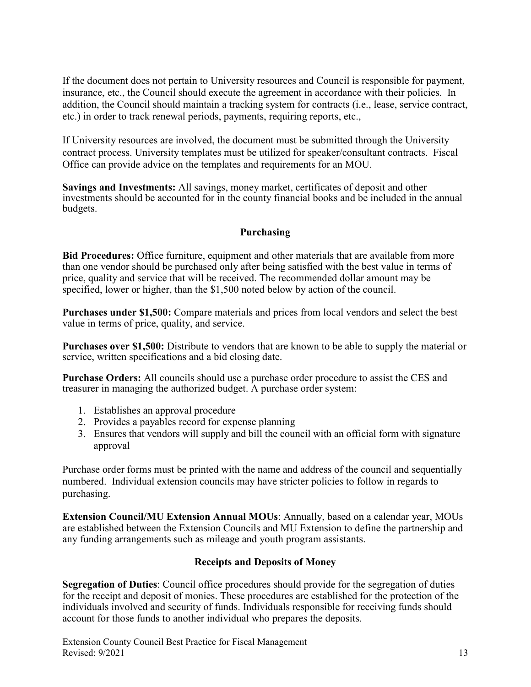If the document does not pertain to University resources and Council is responsible for payment, insurance, etc., the Council should execute the agreement in accordance with their policies. In addition, the Council should maintain a tracking system for contracts (i.e., lease, service contract, etc.) in order to track renewal periods, payments, requiring reports, etc.,

If University resources are involved, the document must be submitted through the University contract process. University templates must be utilized for speaker/consultant contracts. Fiscal Office can provide advice on the templates and requirements for an MOU.

**Savings and Investments:** All savings, money market, certificates of deposit and other investments should be accounted for in the county financial books and be included in the annual budgets.

# **Purchasing**

<span id="page-12-0"></span>**Bid Procedures:** Office furniture, equipment and other materials that are available from more than one vendor should be purchased only after being satisfied with the best value in terms of price, quality and service that will be received. The recommended dollar amount may be specified, lower or higher, than the \$1,500 noted below by action of the council.

**Purchases under \$1,500:** Compare materials and prices from local vendors and select the best value in terms of price, quality, and service.

**Purchases over \$1,500:** Distribute to vendors that are known to be able to supply the material or service, written specifications and a bid closing date.

**Purchase Orders:** All councils should use a purchase order procedure to assist the CES and treasurer in managing the authorized budget. A purchase order system:

- 1. Establishes an approval procedure
- 2. Provides a payables record for expense planning
- 3. Ensures that vendors will supply and bill the council with an official form with signature approval

Purchase order forms must be printed with the name and address of the council and sequentially numbered. Individual extension councils may have stricter policies to follow in regards to purchasing.

**Extension Council/MU Extension Annual MOUs**: Annually, based on a calendar year, MOUs are established between the Extension Councils and MU Extension to define the partnership and any funding arrangements such as mileage and youth program assistants.

# **Receipts and Deposits of Money**

<span id="page-12-1"></span>**Segregation of Duties**: Council office procedures should provide for the segregation of duties for the receipt and deposit of monies. These procedures are established for the protection of the individuals involved and security of funds. Individuals responsible for receiving funds should account for those funds to another individual who prepares the deposits.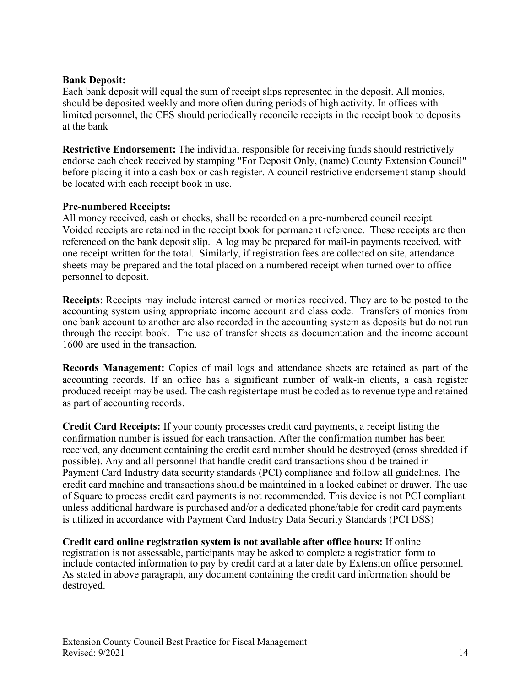#### **Bank Deposit:**

Each bank deposit will equal the sum of receipt slips represented in the deposit. All monies, should be deposited weekly and more often during periods of high activity. In offices with limited personnel, the CES should periodically reconcile receipts in the receipt book to deposits at the bank

**Restrictive Endorsement:** The individual responsible for receiving funds should restrictively endorse each check received by stamping "For Deposit Only, (name) County Extension Council" before placing it into a cash box or cash register. A council restrictive endorsement stamp should be located with each receipt book in use.

#### **Pre-numbered Receipts:**

All money received, cash or checks, shall be recorded on a pre-numbered council receipt. Voided receipts are retained in the receipt book for permanent reference. These receipts are then referenced on the bank deposit slip. A log may be prepared for mail-in payments received, with one receipt written for the total. Similarly, if registration fees are collected on site, attendance sheets may be prepared and the total placed on a numbered receipt when turned over to office personnel to deposit.

**Receipts**: Receipts may include interest earned or monies received. They are to be posted to the accounting system using appropriate income account and class code. Transfers of monies from one bank account to another are also recorded in the accounting system as deposits but do not run through the receipt book. The use of transfer sheets as documentation and the income account 1600 are used in the transaction.

**Records Management:** Copies of mail logs and attendance sheets are retained as part of the accounting records. If an office has a significant number of walk-in clients, a cash register produced receipt may be used. The cash registertape must be coded as to revenue type and retained as part of accounting records.

**Credit Card Receipts:** If your county processes credit card payments, a receipt listing the confirmation number is issued for each transaction. After the confirmation number has been received, any document containing the credit card number should be destroyed (cross shredded if possible). Any and all personnel that handle credit card transactions should be trained in Payment Card Industry data security standards (PCI) compliance and follow all guidelines. The credit card machine and transactions should be maintained in a locked cabinet or drawer. The use of Square to process credit card payments is not recommended. This device is not PCI compliant unless additional hardware is purchased and/or a dedicated phone/table for credit card payments is utilized in accordance with Payment Card Industry Data Security Standards (PCI DSS)

**Credit card online registration system is not available after office hours:** If online registration is not assessable, participants may be asked to complete a registration form to include contacted information to pay by credit card at a later date by Extension office personnel. As stated in above paragraph, any document containing the credit card information should be destroyed.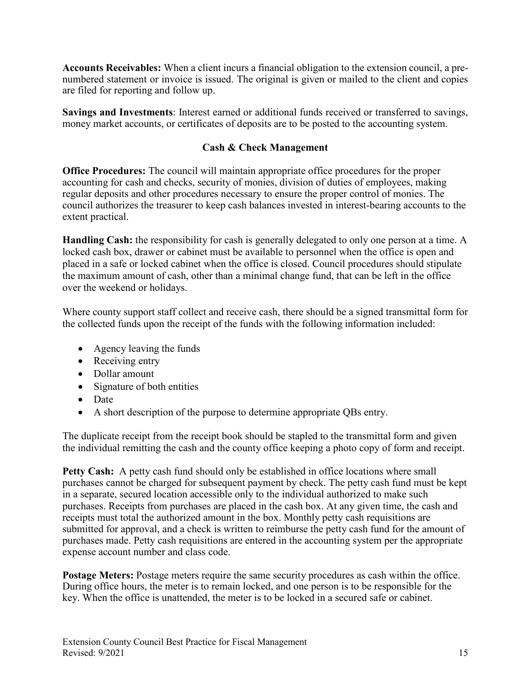**Accounts Receivables:** When a client incurs a financial obligation to the extension council, a prenumbered statement or invoice is issued. The original is given or mailed to the client and copies are filed for reporting and follow up.

**Savings and Investments**: Interest earned or additional funds received or transferred to savings, money market accounts, or certificates of deposits are to be posted to the accounting system.

# **Cash & Check Management**

<span id="page-14-0"></span>**Office Procedures:** The council will maintain appropriate office procedures for the proper accounting for cash and checks, security of monies, division of duties of employees, making regular deposits and other procedures necessary to ensure the proper control of monies. The council authorizes the treasurer to keep cash balances invested in interest-bearing accounts to the extent practical.

**Handling Cash:** the responsibility for cash is generally delegated to only one person at a time. A locked cash box, drawer or cabinet must be available to personnel when the office is open and placed in a safe or locked cabinet when the office is closed. Council procedures should stipulate the maximum amount of cash, other than a minimal change fund, that can be left in the office over the weekend or holidays.

Where county support staff collect and receive cash, there should be a signed transmittal form for the collected funds upon the receipt of the funds with the following information included:

- Agency leaving the funds
- Receiving entry
- Dollar amount
- Signature of both entities
- Date
- A short description of the purpose to determine appropriate QBs entry.

The duplicate receipt from the receipt book should be stapled to the transmittal form and given the individual remitting the cash and the county office keeping a photo copy of form and receipt.

**Petty Cash:** A petty cash fund should only be established in office locations where small purchases cannot be charged for subsequent payment by check. The petty cash fund must be kept in a separate, secured location accessible only to the individual authorized to make such purchases. Receipts from purchases are placed in the cash box. At any given time, the cash and receipts must total the authorized amount in the box. Monthly petty cash requisitions are submitted for approval, and a check is written to reimburse the petty cash fund for the amount of purchases made. Petty cash requisitions are entered in the accounting system per the appropriate expense account number and class code.

**Postage Meters:** Postage meters require the same security procedures as cash within the office. During office hours, the meter is to remain locked, and one person is to be responsible for the key. When the office is unattended, the meter is to be locked in a secured safe or cabinet.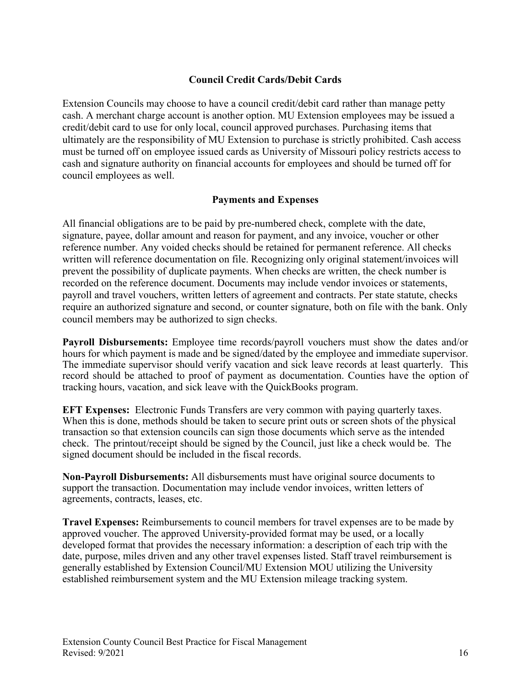### **Council Credit Cards/Debit Cards**

<span id="page-15-0"></span>Extension Councils may choose to have a council credit/debit card rather than manage petty cash. A merchant charge account is another option. MU Extension employees may be issued a credit/debit card to use for only local, council approved purchases. Purchasing items that ultimately are the responsibility of MU Extension to purchase is strictly prohibited. Cash access must be turned off on employee issued cards as University of Missouri policy restricts access to cash and signature authority on financial accounts for employees and should be turned off for council employees as well.

#### **Payments and Expenses**

<span id="page-15-1"></span>All financial obligations are to be paid by pre-numbered check, complete with the date, signature, payee, dollar amount and reason for payment, and any invoice, voucher or other reference number. Any voided checks should be retained for permanent reference. All checks written will reference documentation on file. Recognizing only original statement/invoices will prevent the possibility of duplicate payments. When checks are written, the check number is recorded on the reference document. Documents may include vendor invoices or statements, payroll and travel vouchers, written letters of agreement and contracts. Per state statute, checks require an authorized signature and second, or counter signature, both on file with the bank. Only council members may be authorized to sign checks.

**Payroll Disbursements:** Employee time records/payroll vouchers must show the dates and/or hours for which payment is made and be signed/dated by the employee and immediate supervisor. The immediate supervisor should verify vacation and sick leave records at least quarterly. This record should be attached to proof of payment as documentation. Counties have the option of tracking hours, vacation, and sick leave with the QuickBooks program.

**EFT Expenses:** Electronic Funds Transfers are very common with paying quarterly taxes. When this is done, methods should be taken to secure print outs or screen shots of the physical transaction so that extension councils can sign those documents which serve as the intended check. The printout/receipt should be signed by the Council, just like a check would be. The signed document should be included in the fiscal records.

**Non-Payroll Disbursements:** All disbursements must have original source documents to support the transaction. Documentation may include vendor invoices, written letters of agreements, contracts, leases, etc.

**Travel Expenses:** Reimbursements to council members for travel expenses are to be made by approved voucher. The approved University-provided format may be used, or a locally developed format that provides the necessary information: a description of each trip with the date, purpose, miles driven and any other travel expenses listed. Staff travel reimbursement is generally established by Extension Council/MU Extension MOU utilizing the University established reimbursement system and the MU Extension mileage tracking system.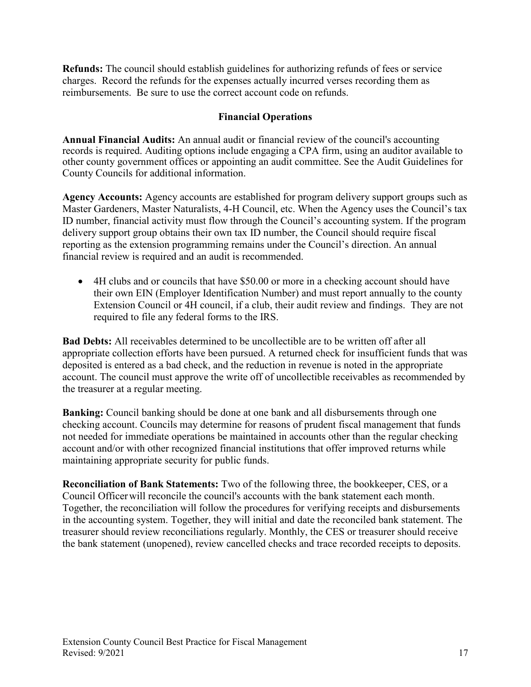**Refunds:** The council should establish guidelines for authorizing refunds of fees or service charges. Record the refunds for the expenses actually incurred verses recording them as reimbursements. Be sure to use the correct account code on refunds.

#### **Financial Operations**

<span id="page-16-0"></span>**Annual Financial Audits:** An annual audit or financial review of the council's accounting records is required. Auditing options include engaging a CPA firm, using an auditor available to other county government offices or appointing an audit committee. See the Audit Guidelines for County Councils for additional information.

**Agency Accounts:** Agency accounts are established for program delivery support groups such as Master Gardeners, Master Naturalists, 4-H Council, etc. When the Agency uses the Council's tax ID number, financial activity must flow through the Council's accounting system. If the program delivery support group obtains their own tax ID number, the Council should require fiscal reporting as the extension programming remains under the Council's direction. An annual financial review is required and an audit is recommended.

• 4H clubs and or councils that have \$50.00 or more in a checking account should have their own EIN (Employer Identification Number) and must report annually to the county Extension Council or 4H council, if a club, their audit review and findings. They are not required to file any federal forms to the IRS.

**Bad Debts:** All receivables determined to be uncollectible are to be written off after all appropriate collection efforts have been pursued. A returned check for insufficient funds that was deposited is entered as a bad check, and the reduction in revenue is noted in the appropriate account. The council must approve the write off of uncollectible receivables as recommended by the treasurer at a regular meeting.

**Banking:** Council banking should be done at one bank and all disbursements through one checking account. Councils may determine for reasons of prudent fiscal management that funds not needed for immediate operations be maintained in accounts other than the regular checking account and/or with other recognized financial institutions that offer improved returns while maintaining appropriate security for public funds.

**Reconciliation of Bank Statements:** Two of the following three, the bookkeeper, CES, or a Council Officerwill reconcile the council's accounts with the bank statement each month. Together, the reconciliation will follow the procedures for verifying receipts and disbursements in the accounting system. Together, they will initial and date the reconciled bank statement. The treasurer should review reconciliations regularly. Monthly, the CES or treasurer should receive the bank statement (unopened), review cancelled checks and trace recorded receipts to deposits.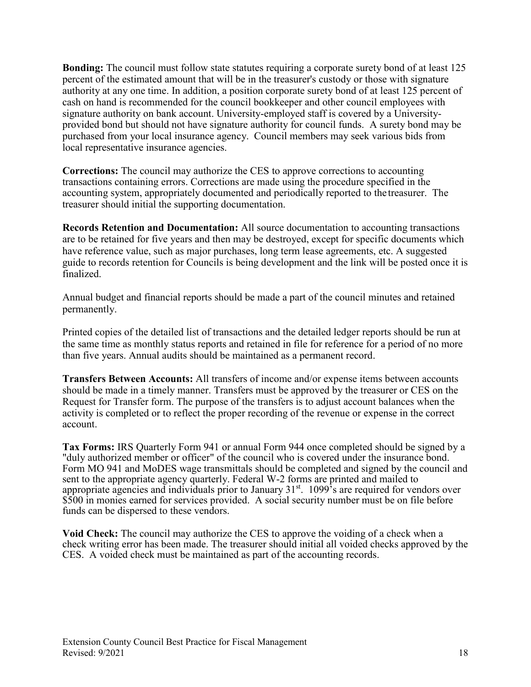**Bonding:** The council must follow state statutes requiring a corporate surety bond of at least 125 percent of the estimated amount that will be in the treasurer's custody or those with signature authority at any one time. In addition, a position corporate surety bond of at least 125 percent of cash on hand is recommended for the council bookkeeper and other council employees with signature authority on bank account. University-employed staff is covered by a Universityprovided bond but should not have signature authority for council funds. A surety bond may be purchased from your local insurance agency. Council members may seek various bids from local representative insurance agencies.

**Corrections:** The council may authorize the CES to approve corrections to accounting transactions containing errors. Corrections are made using the procedure specified in the accounting system, appropriately documented and periodically reported to the treasurer. The treasurer should initial the supporting documentation.

**Records Retention and Documentation:** All source documentation to accounting transactions are to be retained for five years and then may be destroyed, except for specific documents which have reference value, such as major purchases, long term lease agreements, etc. A suggested guide to records retention for Councils is being development and the link will be posted once it is finalized.

Annual budget and financial reports should be made a part of the council minutes and retained permanently.

Printed copies of the detailed list of transactions and the detailed ledger reports should be run at the same time as monthly status reports and retained in file for reference for a period of no more than five years. Annual audits should be maintained as a permanent record.

**Transfers Between Accounts:** All transfers of income and/or expense items between accounts should be made in a timely manner. Transfers must be approved by the treasurer or CES on the Request for Transfer form. The purpose of the transfers is to adjust account balances when the activity is completed or to reflect the proper recording of the revenue or expense in the correct account.

**Tax Forms:** IRS Quarterly Form 941 or annual Form 944 once completed should be signed by a "duly authorized member or officer" of the council who is covered under the insurance bond. Form MO 941 and MoDES wage transmittals should be completed and signed by the council and sent to the appropriate agency quarterly. Federal W-2 forms are printed and mailed to appropriate agencies and individuals prior to January 31<sup>st</sup>. 1099's are required for vendors over \$500 in monies earned for services provided. A social security number must be on file before funds can be dispersed to these vendors.

**Void Check:** The council may authorize the CES to approve the voiding of a check when a check writing error has been made. The treasurer should initial all voided checks approved by the CES. A voided check must be maintained as part of the accounting records.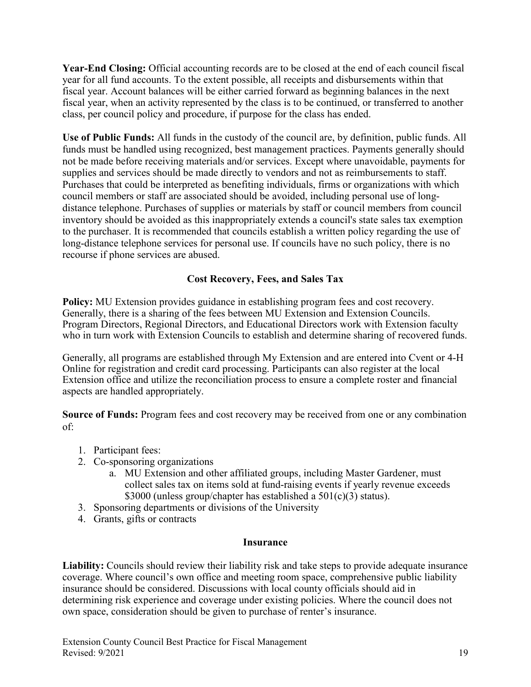**Year-End Closing:** Official accounting records are to be closed at the end of each council fiscal year for all fund accounts. To the extent possible, all receipts and disbursements within that fiscal year. Account balances will be either carried forward as beginning balances in the next fiscal year, when an activity represented by the class is to be continued, or transferred to another class, per council policy and procedure, if purpose for the class has ended.

**Use of Public Funds:** All funds in the custody of the council are, by definition, public funds. All funds must be handled using recognized, best management practices. Payments generally should not be made before receiving materials and/or services. Except where unavoidable, payments for supplies and services should be made directly to vendors and not as reimbursements to staff. Purchases that could be interpreted as benefiting individuals, firms or organizations with which council members or staff are associated should be avoided, including personal use of longdistance telephone. Purchases of supplies or materials by staff or council members from council inventory should be avoided as this inappropriately extends a council's state sales tax exemption to the purchaser. It is recommended that councils establish a written policy regarding the use of long-distance telephone services for personal use. If councils have no such policy, there is no recourse if phone services are abused.

# **Cost Recovery, Fees, and Sales Tax**

<span id="page-18-0"></span>**Policy:** MU Extension provides guidance in establishing program fees and cost recovery. Generally, there is a sharing of the fees between MU Extension and Extension Councils. Program Directors, Regional Directors, and Educational Directors work with Extension faculty who in turn work with Extension Councils to establish and determine sharing of recovered funds.

Generally, all programs are established through My Extension and are entered into Cvent or 4-H Online for registration and credit card processing. Participants can also register at the local Extension office and utilize the reconciliation process to ensure a complete roster and financial aspects are handled appropriately.

**Source of Funds:** Program fees and cost recovery may be received from one or any combination of:

- 1. Participant fees:
- 2. Co-sponsoring organizations
	- a. MU Extension and other affiliated groups, including Master Gardener, must collect sales tax on items sold at fund-raising events if yearly revenue exceeds \$3000 (unless group/chapter has established a 501(c)(3) status).
- 3. Sponsoring departments or divisions of the University
- 4. Grants, gifts or contracts

#### **Insurance**

<span id="page-18-1"></span>Liability: Councils should review their liability risk and take steps to provide adequate insurance coverage. Where council's own office and meeting room space, comprehensive public liability insurance should be considered. Discussions with local county officials should aid in determining risk experience and coverage under existing policies. Where the council does not own space, consideration should be given to purchase of renter's insurance.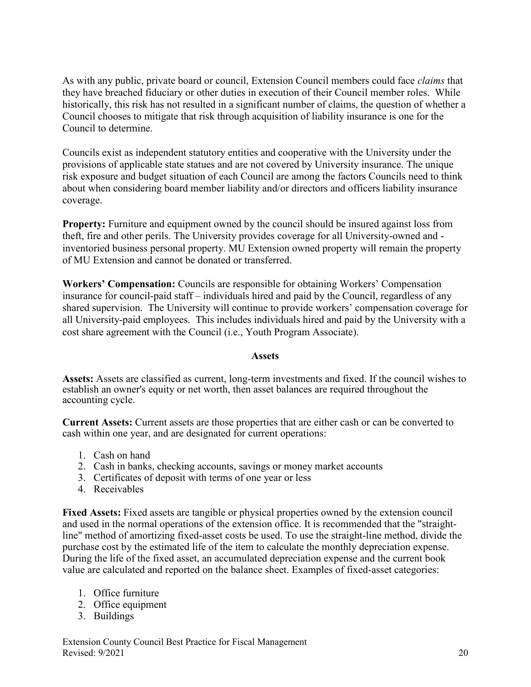As with any public, private board or council, Extension Council members could face *claims* that they have breached fiduciary or other duties in execution of their Council member roles. While historically, this risk has not resulted in a significant number of claims, the question of whether a Council chooses to mitigate that risk through acquisition of liability insurance is one for the Council to determine.

Councils exist as independent statutory entities and cooperative with the University under the provisions of applicable state statues and are not covered by University insurance. The unique risk exposure and budget situation of each Council are among the factors Councils need to think about when considering board member liability and/or directors and officers liability insurance coverage.

**Property:** Furniture and equipment owned by the council should be insured against loss from theft, fire and other perils. The University provides coverage for all University-owned and inventoried business personal property. MU Extension owned property will remain the property of MU Extension and cannot be donated or transferred.

**Workers' Compensation:** Councils are responsible for obtaining Workers' Compensation insurance for council-paid staff – individuals hired and paid by the Council, regardless of any shared supervision. The University will continue to provide workers' compensation coverage for all University-paid employees. This includes individuals hired and paid by the University with a cost share agreement with the Council (i.e., Youth Program Associate).

#### **Assets**

<span id="page-19-0"></span>**Assets:** Assets are classified as current, long-term investments and fixed. If the council wishes to establish an owner's equity or net worth, then asset balances are required throughout the accounting cycle.

**Current Assets:** Current assets are those properties that are either cash or can be converted to cash within one year, and are designated for current operations:

- 1. Cash on hand
- 2. Cash in banks, checking accounts, savings or money market accounts
- 3. Certificates of deposit with terms of one year or less
- 4. Receivables

**Fixed Assets:** Fixed assets are tangible or physical properties owned by the extension council and used in the normal operations of the extension office. It is recommended that the "straightline" method of amortizing fixed-asset costs be used. To use the straight-line method, divide the purchase cost by the estimated life of the item to calculate the monthly depreciation expense. During the life of the fixed asset, an accumulated depreciation expense and the current book value are calculated and reported on the balance sheet. Examples of fixed-asset categories:

- 1. Office furniture
- 2. Office equipment
- 3. Buildings